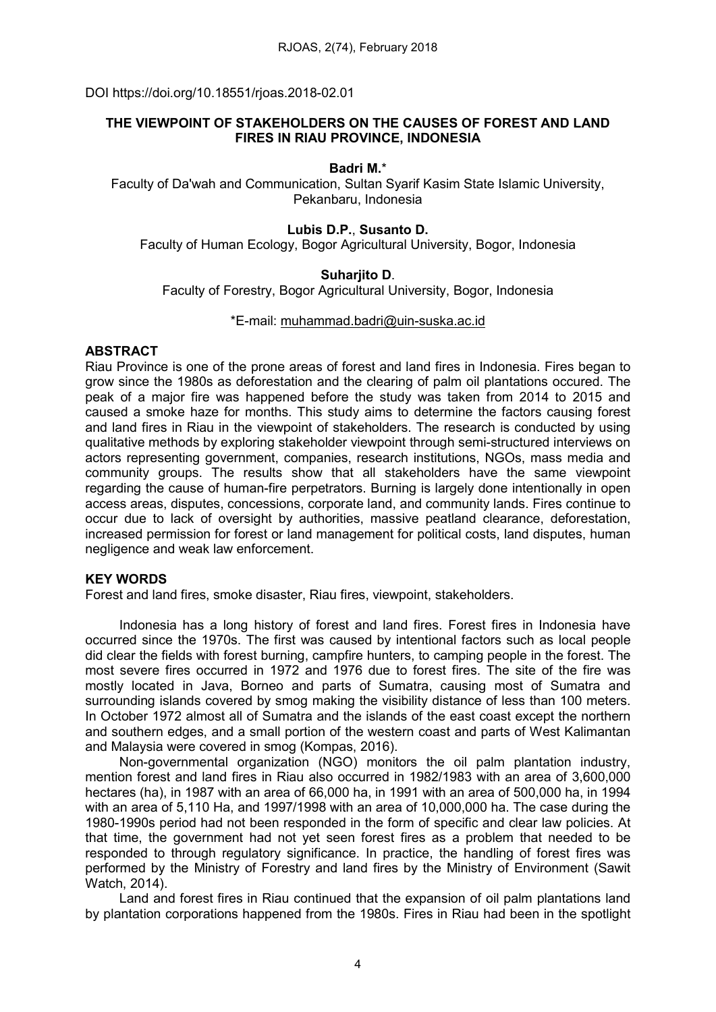DOI https://doi.org/10.18551/rjoas.2018-02.01

# THE VIEWPOINT OF STAKEHOLDERS ON THE CAUSES OF FOREST AND LAND FIRES IN RIAU PROVINCE, INDONESIA

#### Badri M.\*

Faculty of Da'wah and Communication, Sultan Syarif Kasim State Islamic University, Pekanbaru, Indonesia

## Lubis D.P., Susanto D.

Faculty of Human Ecology, Bogor Agricultural University, Bogor, Indonesia

## Suharjito D.

Faculty of Forestry, Bogor Agricultural University, Bogor, Indonesia

### \*E-mail: [muhammad.badri@uin-suska.ac.id](mailto:muhammad.badri@uin-suska.ac.id)

### ABSTRACT

Riau Province is one of the prone areas of forest and land fires in Indonesia. Fires began to grow since the 1980s as deforestation and the clearing of palm oil plantations occured. The peak of a major fire was happened before the study was taken from 2014 to 2015 and caused a smoke haze for months. This study aims to determine the factors causing forest and land fires in Riau in the viewpoint of stakeholders. The research is conducted by using qualitative methods by exploring stakeholder viewpoint through semi-structured interviews on actors representing government, companies, research institutions, NGOs, mass media and community groups. The results show that all stakeholders have the same viewpoint regarding the cause of human-fire perpetrators. Burning is largely done intentionally in open access areas, disputes, concessions, corporate land, and community lands. Fires continue to occur due to lack of oversight by authorities, massive peatland clearance, deforestation, increased permission for forest or land management for political costs, land disputes, human negligence and weak law enforcement.

## KEY WORDS

Forest and land fires, smoke disaster, Riau fires, viewpoint, stakeholders.

Indonesia has a long history of forest and land fires. Forest fires in Indonesia have occurred since the 1970s. The first was caused by intentional factors such as local people did clear the fields with forest burning, campfire hunters, to camping people in the forest. The most severe fires occurred in 1972 and 1976 due to forest fires. The site of the fire was mostly located in Java, Borneo and parts of Sumatra, causing most of Sumatra and surrounding islands covered by smog making the visibility distance of less than 100 meters. In October 1972 almost all of Sumatra and the islands of the east coast except the northern and southern edges, and a small portion of the western coast and parts of West Kalimantan and Malaysia were covered in smog (Kompas, 2016).

Non-governmental organization (NGO) monitors the oil palm plantation industry, mention forest and land fires in Riau also occurred in 1982/1983 with an area of 3,600,000 hectares (ha), in 1987 with an area of 66,000 ha, in 1991 with an area of 500,000 ha, in 1994 with an area of 5,110 Ha, and 1997/1998 with an area of 10,000,000 ha. The case during the 1980-1990s period had not been responded in the form of specific and clear law policies. At that time, the government had not yet seen forest fires as a problem that needed to be responded to through regulatory significance. In practice, the handling of forest fires was performed by the Ministry of Forestry and land fires by the Ministry of Environment (Sawit Watch, 2014).

Land and forest fires in Riau continued that the expansion of oil palm plantations land by plantation corporations happened from the 1980s. Fires in Riau had been in the spotlight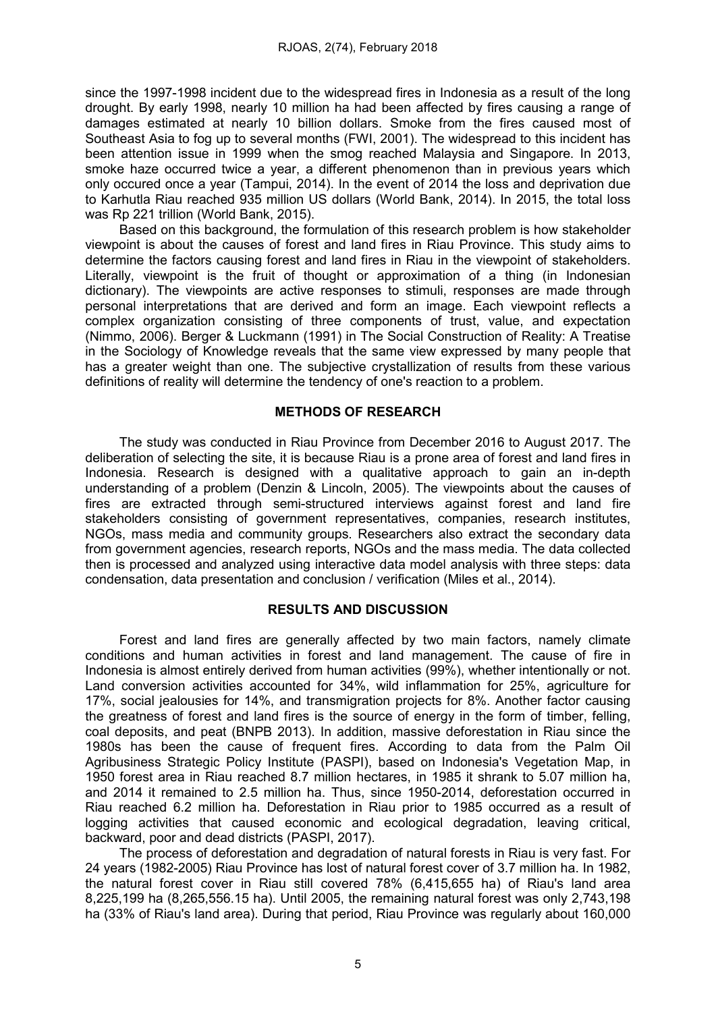since the 1997-1998 incident due to the widespread fires in Indonesia as a result of the long drought. By early 1998, nearly 10 million ha had been affected by fires causing a range of damages estimated at nearly 10 billion dollars. Smoke from the fires caused most of Southeast Asia to fog up to several months (FWI, 2001). The widespread to this incident has been attention issue in 1999 when the smog reached Malaysia and Singapore. In 2013, smoke haze occurred twice a year, a different phenomenon than in previous years which only occured once a year (Tampui, 2014). In the event of 2014 the loss and deprivation due to Karhutla Riau reached 935 million US dollars (World Bank, 2014). In 2015, the total loss was Rp 221 trillion (World Bank, 2015).

Based on this background, the formulation of this research problem is how stakeholder viewpoint is about the causes of forest and land fires in Riau Province. This study aims to determine the factors causing forest and land fires in Riau in the viewpoint of stakeholders. Literally, viewpoint is the fruit of thought or approximation of a thing (in Indonesian dictionary). The viewpoints are active responses to stimuli, responses are made through personal interpretations that are derived and form an image. Each viewpoint reflects a complex organization consisting of three components of trust, value, and expectation (Nimmo, 2006). Berger & Luckmann (1991) in The Social Construction of Reality: A Treatise in the Sociology of Knowledge reveals that the same view expressed by many people that has a greater weight than one. The subjective crystallization of results from these various definitions of reality will determine the tendency of one's reaction to a problem.

### METHODS OF RESEARCH

The study was conducted in Riau Province from December 2016 to August 2017. The deliberation of selecting the site, it is because Riau is a prone area of forest and land fires in Indonesia. Research is designed with a qualitative approach to gain an in-depth understanding of a problem (Denzin & Lincoln, 2005). The viewpoints about the causes of fires are extracted through semi-structured interviews against forest and land fire stakeholders consisting of government representatives, companies, research institutes, NGOs, mass media and community groups. Researchers also extract the secondary data from government agencies, research reports, NGOs and the mass media. The data collected then is processed and analyzed using interactive data model analysis with three steps: data condensation, data presentation and conclusion / verification (Miles et al., 2014).

## RESULTS AND DISCUSSION

Forest and land fires are generally affected by two main factors, namely climate conditions and human activities in forest and land management. The cause of fire in Indonesia is almost entirely derived from human activities (99%), whether intentionally or not. Land conversion activities accounted for 34%, wild inflammation for 25%, agriculture for 17%, social jealousies for 14%, and transmigration projects for 8%. Another factor causing the greatness of forest and land fires is the source of energy in the form of timber, felling, coal deposits, and peat (BNPB 2013). In addition, massive deforestation in Riau since the 1980s has been the cause of frequent fires. According to data from the Palm Oil Agribusiness Strategic Policy Institute (PASPI), based on Indonesia's Vegetation Map, in 1950 forest area in Riau reached 8.7 million hectares, in 1985 it shrank to 5.07 million ha, and 2014 it remained to 2.5 million ha. Thus, since 1950-2014, deforestation occurred in Riau reached 6.2 million ha. Deforestation in Riau prior to 1985 occurred as a result of logging activities that caused economic and ecological degradation, leaving critical, backward, poor and dead districts (PASPI, 2017).

The process of deforestation and degradation of natural forests in Riau is very fast. For 24 years (1982-2005) Riau Province has lost of natural forest cover of 3.7 million ha. In 1982, the natural forest cover in Riau still covered 78% (6,415,655 ha) of Riau's land area 8,225,199 ha (8,265,556.15 ha). Until 2005, the remaining natural forest was only 2,743,198 ha (33% of Riau's land area). During that period, Riau Province was regularly about 160,000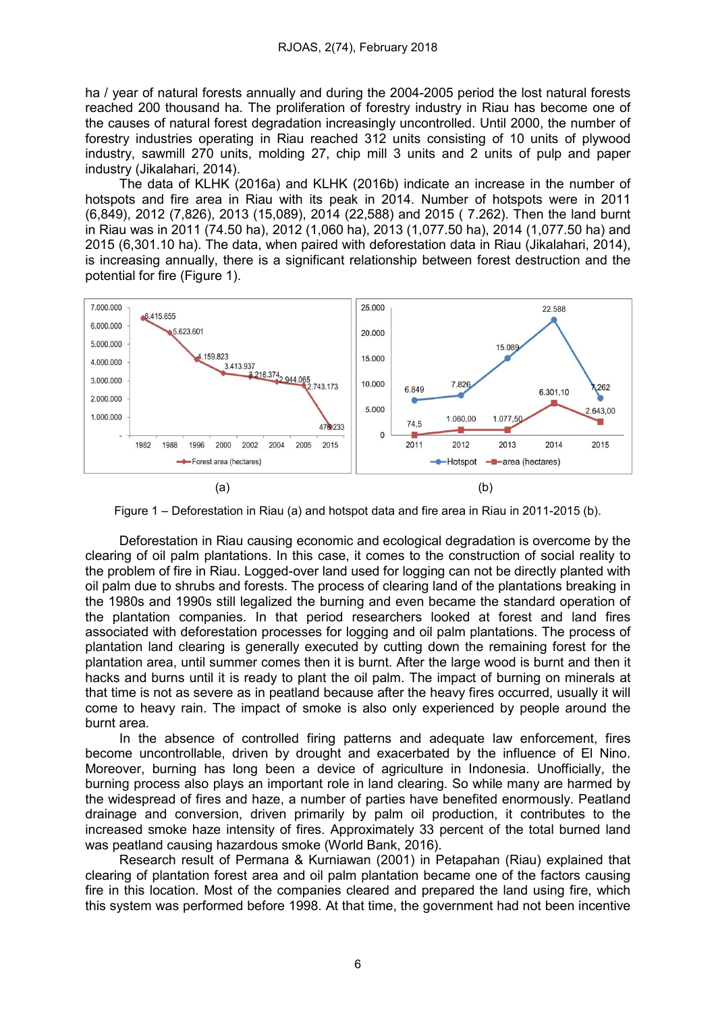ha / year of natural forests annually and during the 2004-2005 period the lost natural forests reached 200 thousand ha. The proliferation of forestry industry in Riau has become one of the causes of natural forest degradation increasingly uncontrolled. Until 2000, the number of forestry industries operating in Riau reached 312 units consisting of 10 units of plywood industry, sawmill 270 units, molding 27, chip mill 3 units and 2 units of pulp and paper industry (Jikalahari, 2014).

The data of KLHK (2016a) and KLHK (2016b) indicate an increase in the number of hotspots and fire area in Riau with its peak in 2014. Number of hotspots were in 2011 (6,849), 2012 (7,826), 2013 (15,089), 2014 (22,588) and 2015 ( 7.262). Then the land burnt in Riau was in 2011 (74.50 ha), 2012 (1,060 ha), 2013 (1,077.50 ha), 2014 (1,077.50 ha) and 2015 (6,301.10 ha). The data, when paired with deforestation data in Riau (Jikalahari, 2014), is increasing annually, there is a significant relationship between forest destruction and the potential for fire (Figure 1).



Figure 1 – Deforestation in Riau (a) and hotspot data and fire area in Riau in 2011-2015 (b).

Deforestation in Riau causing economic and ecological degradation is overcome by the clearing of oil palm plantations. In this case, it comes to the construction of social reality to the problem of fire in Riau. Logged-over land used for logging can not be directly planted with oil palm due to shrubs and forests. The process of clearing land of the plantations breaking in the 1980s and 1990s still legalized the burning and even became the standard operation of the plantation companies. In that period researchers looked at forest and land fires associated with deforestation processes for logging and oil palm plantations. The process of plantation land clearing is generally executed by cutting down the remaining forest for the plantation area, until summer comes then it is burnt. After the large wood is burnt and then it hacks and burns until it is ready to plant the oil palm. The impact of burning on minerals at that time is not as severe as in peatland because after the heavy fires occurred, usually it will come to heavy rain. The impact of smoke is also only experienced by people around the burnt area.

In the absence of controlled firing patterns and adequate law enforcement, fires become uncontrollable, driven by drought and exacerbated by the influence of El Nino. Moreover, burning has long been a device of agriculture in Indonesia. Unofficially, the burning process also plays an important role in land clearing. So while many are harmed by the widespread of fires and haze, a number of parties have benefited enormously. Peatland drainage and conversion, driven primarily by palm oil production, it contributes to the increased smoke haze intensity of fires. Approximately 33 percent of the total burned land was peatland causing hazardous smoke (World Bank, 2016).

Research result of Permana & Kurniawan (2001) in Petapahan (Riau) explained that clearing of plantation forest area and oil palm plantation became one of the factors causing fire in this location. Most of the companies cleared and prepared the land using fire, which this system was performed before 1998. At that time, the government had not been incentive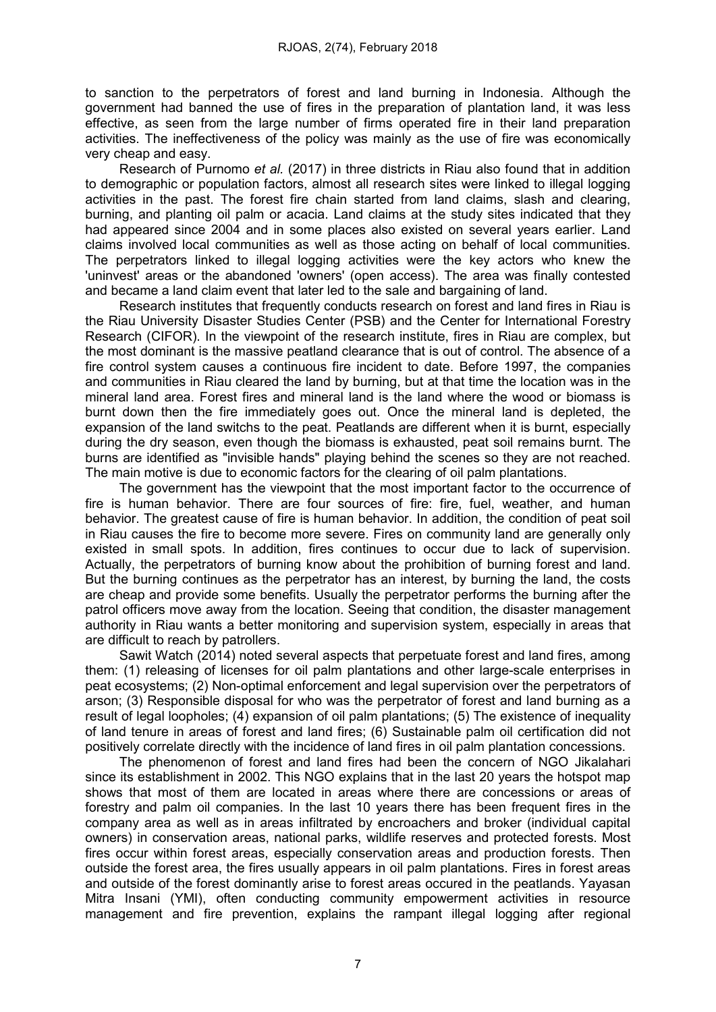to sanction to the perpetrators of forest and land burning in Indonesia. Although the government had banned the use of fires in the preparation of plantation land, it was less effective, as seen from the large number of firms operated fire in their land preparation activities. The ineffectiveness of the policy was mainly as the use of fire was economically very cheap and easy.

Research of Purnomo et al. (2017) in three districts in Riau also found that in addition to demographic or population factors, almost all research sites were linked to illegal logging activities in the past. The forest fire chain started from land claims, slash and clearing, burning, and planting oil palm or acacia. Land claims at the study sites indicated that they had appeared since 2004 and in some places also existed on several years earlier. Land claims involved local communities as well as those acting on behalf of local communities. The perpetrators linked to illegal logging activities were the key actors who knew the 'uninvest' areas or the abandoned 'owners' (open access). The area was finally contested and became a land claim event that later led to the sale and bargaining of land.

Research institutes that frequently conducts research on forest and land fires in Riau is the Riau University Disaster Studies Center (PSB) and the Center for International Forestry Research (CIFOR). In the viewpoint of the research institute, fires in Riau are complex, but the most dominant is the massive peatland clearance that is out of control. The absence of a fire control system causes a continuous fire incident to date. Before 1997, the companies and communities in Riau cleared the land by burning, but at that time the location was in the mineral land area. Forest fires and mineral land is the land where the wood or biomass is burnt down then the fire immediately goes out. Once the mineral land is depleted, the expansion of the land switchs to the peat. Peatlands are different when it is burnt, especially during the dry season, even though the biomass is exhausted, peat soil remains burnt. The burns are identified as "invisible hands" playing behind the scenes so they are not reached. The main motive is due to economic factors for the clearing of oil palm plantations.

The government has the viewpoint that the most important factor to the occurrence of fire is human behavior. There are four sources of fire: fire, fuel, weather, and human behavior. The greatest cause of fire is human behavior. In addition, the condition of peat soil in Riau causes the fire to become more severe. Fires on community land are generally only existed in small spots. In addition, fires continues to occur due to lack of supervision. Actually, the perpetrators of burning know about the prohibition of burning forest and land. But the burning continues as the perpetrator has an interest, by burning the land, the costs are cheap and provide some benefits. Usually the perpetrator performs the burning after the patrol officers move away from the location. Seeing that condition, the disaster management authority in Riau wants a better monitoring and supervision system, especially in areas that are difficult to reach by patrollers.

Sawit Watch (2014) noted several aspects that perpetuate forest and land fires, among them: (1) releasing of licenses for oil palm plantations and other large-scale enterprises in peat ecosystems; (2) Non-optimal enforcement and legal supervision over the perpetrators of arson; (3) Responsible disposal for who was the perpetrator of forest and land burning as a result of legal loopholes; (4) expansion of oil palm plantations; (5) The existence of inequality of land tenure in areas of forest and land fires; (6) Sustainable palm oil certification did not positively correlate directly with the incidence of land fires in oil palm plantation concessions.

The phenomenon of forest and land fires had been the concern of NGO Jikalahari since its establishment in 2002. This NGO explains that in the last 20 years the hotspot map shows that most of them are located in areas where there are concessions or areas of forestry and palm oil companies. In the last 10 years there has been frequent fires in the company area as well as in areas infiltrated by encroachers and broker (individual capital owners) in conservation areas, national parks, wildlife reserves and protected forests. Most fires occur within forest areas, especially conservation areas and production forests. Then outside the forest area, the fires usually appears in oil palm plantations. Fires in forest areas and outside of the forest dominantly arise to forest areas occured in the peatlands. Yayasan Mitra Insani (YMI), often conducting community empowerment activities in resource management and fire prevention, explains the rampant illegal logging after regional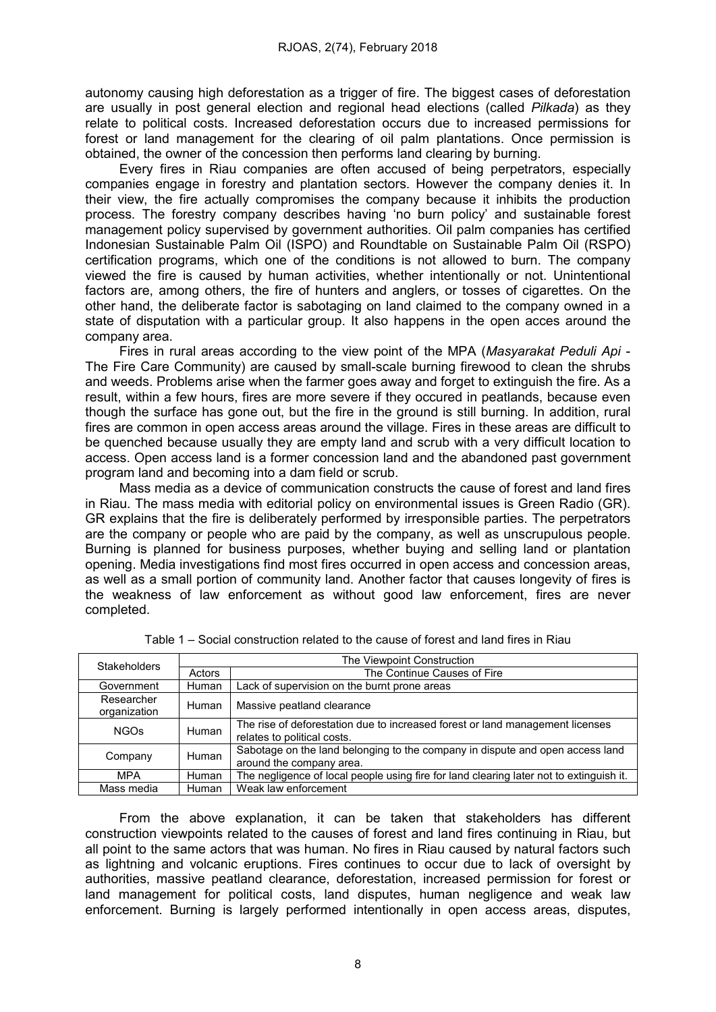autonomy causing high deforestation as a trigger of fire. The biggest cases of deforestation are usually in post general election and regional head elections (called Pilkada) as they relate to political costs. Increased deforestation occurs due to increased permissions for forest or land management for the clearing of oil palm plantations. Once permission is obtained, the owner of the concession then performs land clearing by burning.

Every fires in Riau companies are often accused of being perpetrators, especially companies engage in forestry and plantation sectors. However the company denies it. In their view, the fire actually compromises the company because it inhibits the production process. The forestry company describes having 'no burn policy' and sustainable forest management policy supervised by government authorities. Oil palm companies has certified Indonesian Sustainable Palm Oil (ISPO) and Roundtable on Sustainable Palm Oil (RSPO) certification programs, which one of the conditions is not allowed to burn. The company viewed the fire is caused by human activities, whether intentionally or not. Unintentional factors are, among others, the fire of hunters and anglers, or tosses of cigarettes. On the other hand, the deliberate factor is sabotaging on land claimed to the company owned in a state of disputation with a particular group. It also happens in the open acces around the company area.

Fires in rural areas according to the view point of the MPA (Masyarakat Peduli Api -The Fire Care Community) are caused by small-scale burning firewood to clean the shrubs and weeds. Problems arise when the farmer goes away and forget to extinguish the fire. As a result, within a few hours, fires are more severe if they occured in peatlands, because even though the surface has gone out, but the fire in the ground is still burning. In addition, rural fires are common in open access areas around the village. Fires in these areas are difficult to be quenched because usually they are empty land and scrub with a very difficult location to access. Open access land is a former concession land and the abandoned past government program land and becoming into a dam field or scrub.

Mass media as a device of communication constructs the cause of forest and land fires in Riau. The mass media with editorial policy on environmental issues is Green Radio (GR). GR explains that the fire is deliberately performed by irresponsible parties. The perpetrators are the company or people who are paid by the company, as well as unscrupulous people. Burning is planned for business purposes, whether buying and selling land or plantation opening. Media investigations find most fires occurred in open access and concession areas, as well as a small portion of community land. Another factor that causes longevity of fires is the weakness of law enforcement as without good law enforcement, fires are never completed.

| <b>Stakeholders</b>        | The Viewpoint Construction |                                                                                                              |  |
|----------------------------|----------------------------|--------------------------------------------------------------------------------------------------------------|--|
|                            | Actors                     | The Continue Causes of Fire                                                                                  |  |
| Government                 | Human                      | Lack of supervision on the burnt prone areas                                                                 |  |
| Researcher<br>organization | Human                      | Massive peatland clearance                                                                                   |  |
| <b>NGOs</b>                | <b>Human</b>               | The rise of deforestation due to increased forest or land management licenses<br>relates to political costs. |  |
| Company                    | Human                      | Sabotage on the land belonging to the company in dispute and open access land<br>around the company area.    |  |
| <b>MPA</b>                 | <b>Human</b>               | The negligence of local people using fire for land clearing later not to extinguish it.                      |  |
| Mass media                 | <b>Human</b>               | Weak law enforcement                                                                                         |  |

|  |  | Table 1 – Social construction related to the cause of forest and land fires in Riau |  |  |  |
|--|--|-------------------------------------------------------------------------------------|--|--|--|
|--|--|-------------------------------------------------------------------------------------|--|--|--|

From the above explanation, it can be taken that stakeholders has different construction viewpoints related to the causes of forest and land fires continuing in Riau, but all point to the same actors that was human. No fires in Riau caused by natural factors such as lightning and volcanic eruptions. Fires continues to occur due to lack of oversight by authorities, massive peatland clearance, deforestation, increased permission for forest or land management for political costs, land disputes, human negligence and weak law enforcement. Burning is largely performed intentionally in open access areas, disputes,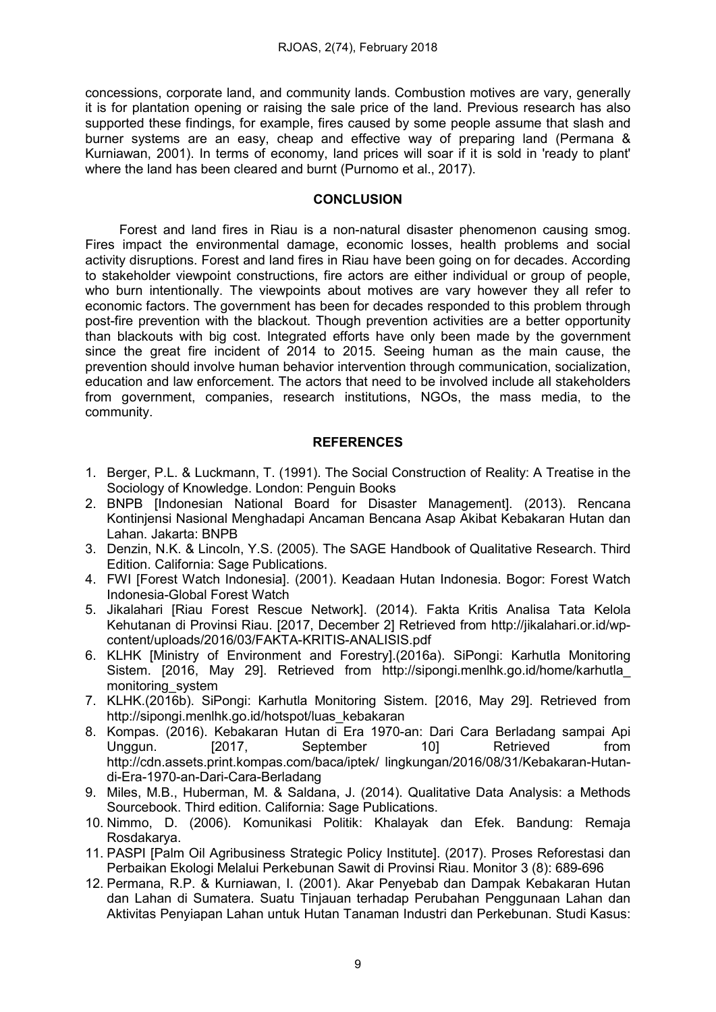concessions, corporate land, and community lands. Combustion motives are vary, generally it is for plantation opening or raising the sale price of the land. Previous research has also supported these findings, for example, fires caused by some people assume that slash and burner systems are an easy, cheap and effective way of preparing land (Permana & Kurniawan, 2001). In terms of economy, land prices will soar if it is sold in 'ready to plant' where the land has been cleared and burnt (Purnomo et al., 2017).

### **CONCLUSION**

Forest and land fires in Riau is a non-natural disaster phenomenon causing smog. Fires impact the environmental damage, economic losses, health problems and social activity disruptions. Forest and land fires in Riau have been going on for decades. According to stakeholder viewpoint constructions, fire actors are either individual or group of people, who burn intentionally. The viewpoints about motives are vary however they all refer to economic factors. The government has been for decades responded to this problem through post-fire prevention with the blackout. Though prevention activities are a better opportunity than blackouts with big cost. Integrated efforts have only been made by the government since the great fire incident of 2014 to 2015. Seeing human as the main cause, the prevention should involve human behavior intervention through communication, socialization, education and law enforcement. The actors that need to be involved include all stakeholders from government, companies, research institutions, NGOs, the mass media, to the community.

## **REFERENCES**

- 1. Berger, P.L. & Luckmann, T. (1991). The Social Construction of Reality: A Treatise in the Sociology of Knowledge. London: Penguin Books
- 2. BNPB [Indonesian National Board for Disaster Management]. (2013). Rencana Kontinjensi Nasional Menghadapi Ancaman Bencana Asap Akibat Kebakaran Hutan dan Lahan. Jakarta: BNPB
- 3. Denzin, N.K. & Lincoln, Y.S. (2005). The SAGE Handbook of Qualitative Research. Third Edition. California: Sage Publications.
- 4. FWI [Forest Watch Indonesia]. (2001). Keadaan Hutan Indonesia. Bogor: Forest Watch Indonesia-Global Forest Watch
- 5. Jikalahari [Riau Forest Rescue Network]. (2014). Fakta Kritis Analisa Tata Kelola Kehutanan di Provinsi Riau. [2017, December 2] Retrieved from http://jikalahari.or.id/wpcontent/uploads/2016/03/FAKTA-KRITIS-ANALISIS.pdf
- 6. KLHK [Ministry of Environment and Forestry].(2016a). SiPongi: Karhutla Monitoring Sistem. [2016, May 29]. Retrieved from http://sipongi.menlhk.go.id/home/karhutla\_ monitoring\_system
- 7. KLHK.(2016b). SiPongi: Karhutla Monitoring Sistem. [2016, May 29]. Retrieved from http://sipongi.menlhk.go.id/hotspot/luas\_kebakaran
- 8. Kompas. (2016). Kebakaran Hutan di Era 1970-an: Dari Cara Berladang sampai Api Unggun. [2017, September 10] Retrieved from http://cdn.assets.print.kompas.com/baca/iptek/ lingkungan/2016/08/31/Kebakaran-Hutandi-Era-1970-an-Dari-Cara-Berladang
- 9. Miles, M.B., Huberman, M. & Saldana, J. (2014). Qualitative Data Analysis: a Methods Sourcebook. Third edition. California: Sage Publications.
- 10. Nimmo, D. (2006). Komunikasi Politik: Khalayak dan Efek. Bandung: Remaja Rosdakarya.
- 11. PASPI [Palm Oil Agribusiness Strategic Policy Institute]. (2017). Proses Reforestasi dan Perbaikan Ekologi Melalui Perkebunan Sawit di Provinsi Riau. Monitor 3 (8): 689-696
- 12. Permana, R.P. & Kurniawan, I. (2001). Akar Penyebab dan Dampak Kebakaran Hutan dan Lahan di Sumatera. Suatu Tinjauan terhadap Perubahan Penggunaan Lahan dan Aktivitas Penyiapan Lahan untuk Hutan Tanaman Industri dan Perkebunan. Studi Kasus: